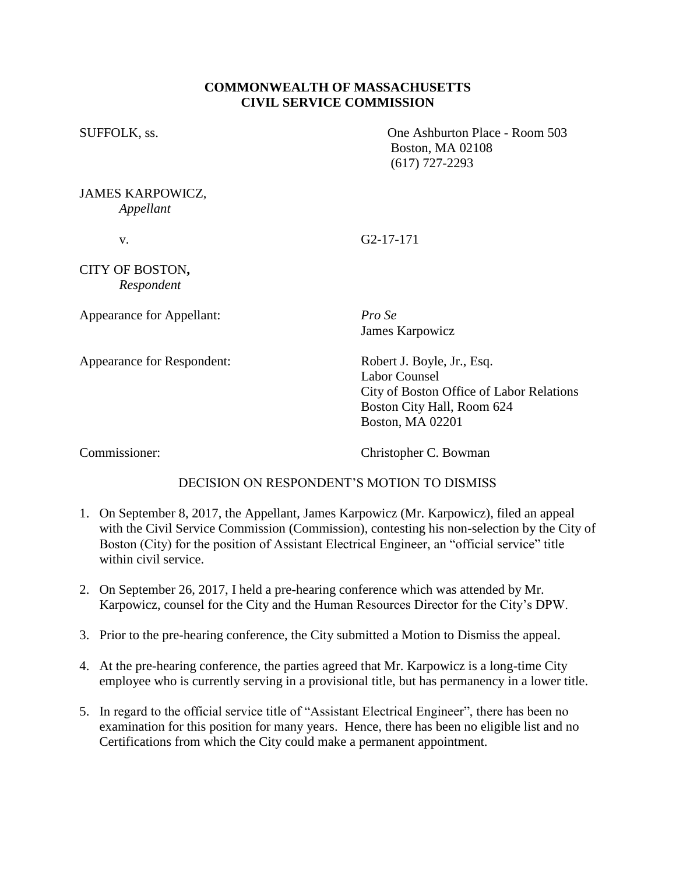# **COMMONWEALTH OF MASSACHUSETTS CIVIL SERVICE COMMISSION**

SUFFOLK, ss. One Ashburton Place - Room 503 Boston, MA 02108 (617) 727-2293

#### JAMES KARPOWICZ, *Appellant*

v. G2-17-171

## CITY OF BOSTON**,** *Respondent*

Appearance for Appellant: *Pro Se*

James Karpowicz

Appearance for Respondent: Robert J. Boyle, Jr., Esq.

Labor Counsel City of Boston Office of Labor Relations Boston City Hall, Room 624 Boston, MA 02201

Commissioner: Christopher C. Bowman

# DECISION ON RESPONDENT'S MOTION TO DISMISS

- 1. On September 8, 2017, the Appellant, James Karpowicz (Mr. Karpowicz), filed an appeal with the Civil Service Commission (Commission), contesting his non-selection by the City of Boston (City) for the position of Assistant Electrical Engineer, an "official service" title within civil service.
- 2. On September 26, 2017, I held a pre-hearing conference which was attended by Mr. Karpowicz, counsel for the City and the Human Resources Director for the City's DPW.
- 3. Prior to the pre-hearing conference, the City submitted a Motion to Dismiss the appeal.
- 4. At the pre-hearing conference, the parties agreed that Mr. Karpowicz is a long-time City employee who is currently serving in a provisional title, but has permanency in a lower title.
- 5. In regard to the official service title of "Assistant Electrical Engineer", there has been no examination for this position for many years. Hence, there has been no eligible list and no Certifications from which the City could make a permanent appointment.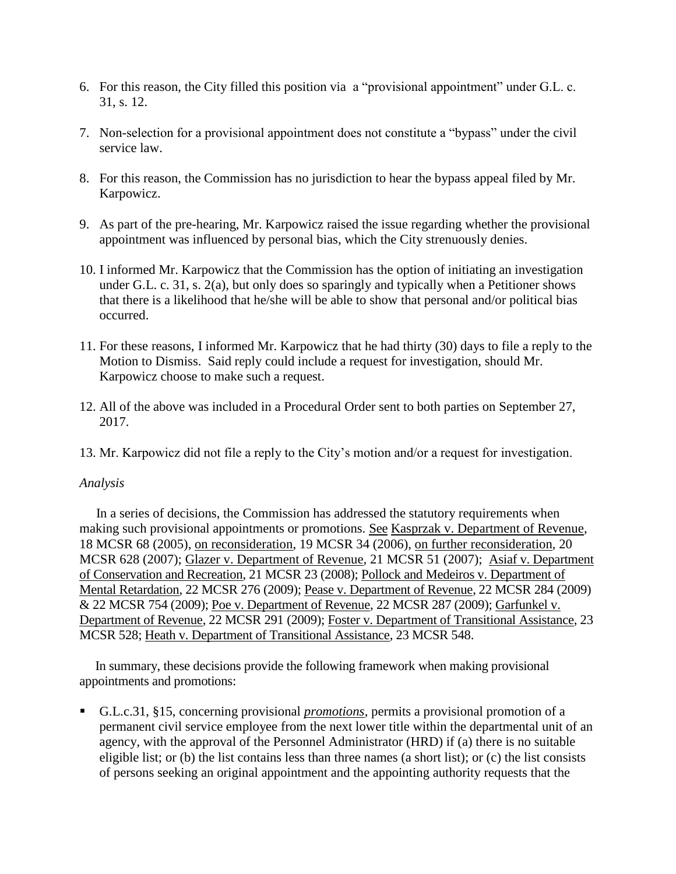- 6. For this reason, the City filled this position via a "provisional appointment" under G.L. c. 31, s. 12.
- 7. Non-selection for a provisional appointment does not constitute a "bypass" under the civil service law.
- 8. For this reason, the Commission has no jurisdiction to hear the bypass appeal filed by Mr. Karpowicz.
- 9. As part of the pre-hearing, Mr. Karpowicz raised the issue regarding whether the provisional appointment was influenced by personal bias, which the City strenuously denies.
- 10. I informed Mr. Karpowicz that the Commission has the option of initiating an investigation under G.L. c. 31, s. 2(a), but only does so sparingly and typically when a Petitioner shows that there is a likelihood that he/she will be able to show that personal and/or political bias occurred.
- 11. For these reasons, I informed Mr. Karpowicz that he had thirty (30) days to file a reply to the Motion to Dismiss. Said reply could include a request for investigation, should Mr. Karpowicz choose to make such a request.
- 12. All of the above was included in a Procedural Order sent to both parties on September 27, 2017.
- 13. Mr. Karpowicz did not file a reply to the City's motion and/or a request for investigation.

### *Analysis*

 In a series of decisions, the Commission has addressed the statutory requirements when making such provisional appointments or promotions. See Kasprzak v. Department of Revenue, 18 MCSR 68 (2005), on reconsideration, 19 MCSR 34 (2006), on further reconsideration, 20 MCSR 628 (2007); Glazer v. Department of Revenue, 21 MCSR 51 (2007); Asiaf v. Department of Conservation and Recreation, 21 MCSR 23 (2008); Pollock and Medeiros v. Department of Mental Retardation, 22 MCSR 276 (2009); Pease v. Department of Revenue, 22 MCSR 284 (2009) & 22 MCSR 754 (2009); Poe v. Department of Revenue, 22 MCSR 287 (2009); Garfunkel v. Department of Revenue, 22 MCSR 291 (2009); Foster v. Department of Transitional Assistance, 23 MCSR 528; Heath v. Department of Transitional Assistance, 23 MCSR 548.

 In summary, these decisions provide the following framework when making provisional appointments and promotions:

 G.L.c.31, §15, concerning provisional *promotions*, permits a provisional promotion of a permanent civil service employee from the next lower title within the departmental unit of an agency, with the approval of the Personnel Administrator (HRD) if (a) there is no suitable eligible list; or (b) the list contains less than three names (a short list); or (c) the list consists of persons seeking an original appointment and the appointing authority requests that the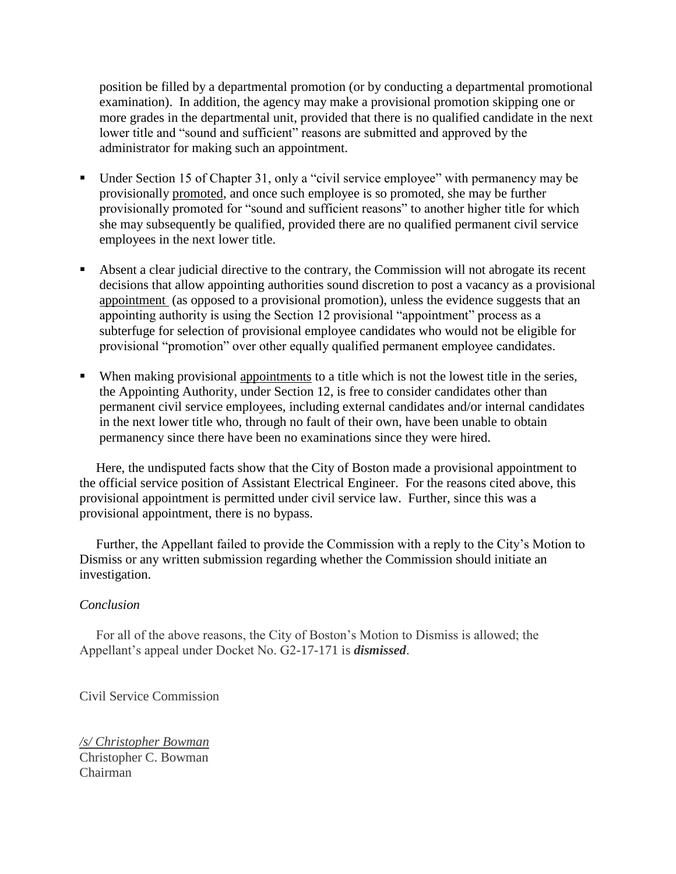position be filled by a departmental promotion (or by conducting a departmental promotional examination). In addition, the agency may make a provisional promotion skipping one or more grades in the departmental unit, provided that there is no qualified candidate in the next lower title and "sound and sufficient" reasons are submitted and approved by the administrator for making such an appointment.

- Under Section 15 of Chapter 31, only a "civil service employee" with permanency may be provisionally promoted, and once such employee is so promoted, she may be further provisionally promoted for "sound and sufficient reasons" to another higher title for which she may subsequently be qualified, provided there are no qualified permanent civil service employees in the next lower title.
- Absent a clear judicial directive to the contrary, the Commission will not abrogate its recent decisions that allow appointing authorities sound discretion to post a vacancy as a provisional appointment (as opposed to a provisional promotion), unless the evidence suggests that an appointing authority is using the Section 12 provisional "appointment" process as a subterfuge for selection of provisional employee candidates who would not be eligible for provisional "promotion" over other equally qualified permanent employee candidates.
- When making provisional appointments to a title which is not the lowest title in the series, the Appointing Authority, under Section 12, is free to consider candidates other than permanent civil service employees, including external candidates and/or internal candidates in the next lower title who, through no fault of their own, have been unable to obtain permanency since there have been no examinations since they were hired.

 Here, the undisputed facts show that the City of Boston made a provisional appointment to the official service position of Assistant Electrical Engineer. For the reasons cited above, this provisional appointment is permitted under civil service law. Further, since this was a provisional appointment, there is no bypass.

 Further, the Appellant failed to provide the Commission with a reply to the City's Motion to Dismiss or any written submission regarding whether the Commission should initiate an investigation.

### *Conclusion*

 For all of the above reasons, the City of Boston's Motion to Dismiss is allowed; the Appellant's appeal under Docket No. G2-17-171 is *dismissed*.

Civil Service Commission

*/s/ Christopher Bowman* Christopher C. Bowman Chairman